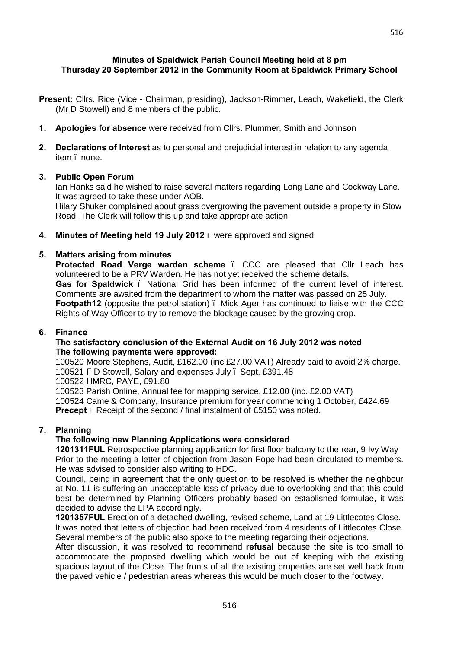# **Minutes of Spaldwick Parish Council Meeting held at 8 pm Thursday 20 September 2012 in the Community Room at Spaldwick Primary School**

- **Present:** Cllrs. Rice (Vice Chairman, presiding), Jackson-Rimmer, Leach, Wakefield, the Clerk (Mr D Stowell) and 8 members of the public.
- **1. Apologies for absence** were received from Cllrs. Plummer, Smith and Johnson
- **2. Declarations of Interest** as to personal and prejudicial interest in relation to any agenda item . none.

### **3. Public Open Forum**

Ian Hanks said he wished to raise several matters regarding Long Lane and Cockway Lane. It was agreed to take these under AOB.

Hilary Shuker complained about grass overgrowing the pavement outside a property in Stow Road. The Clerk will follow this up and take appropriate action.

**4. Minutes of Meeting held 19 July 2012** – were approved and signed

### **5. Matters arising from minutes**

**Protected Road Verge warden scheme** . CCC are pleased that Cllr Leach has volunteered to be a PRV Warden. He has not yet received the scheme details. **Gas for Spaldwick** – National Grid has been informed of the current level of interest. Comments are awaited from the department to whom the matter was passed on 25 July. **Footpath12** (opposite the petrol station) – Mick Ager has continued to liaise with the CCC Rights of Way Officer to try to remove the blockage caused by the growing crop.

#### **6. Finance**

### **The satisfactory conclusion of the External Audit on 16 July 2012 was noted The following payments were approved:**

100520 Moore Stephens, Audit, £162.00 (inc £27.00 VAT) Already paid to avoid 2% charge. 100521 F D Stowell, Salary and expenses July – Sept, £391.48

100522 HMRC, PAYE, £91.80

100523 Parish Online, Annual fee for mapping service, £12.00 (inc. £2.00 VAT) 100524 Came & Company, Insurance premium for year commencing 1 October, £424.69 **Precept** . Receipt of the second / final instalment of £5150 was noted.

#### **7. Planning**

#### **The following new Planning Applications were considered**

**1201311FUL** Retrospective planning application for first floor balcony to the rear, 9 Ivy Way Prior to the meeting a letter of objection from Jason Pope had been circulated to members. He was advised to consider also writing to HDC.

Council, being in agreement that the only question to be resolved is whether the neighbour at No. 11 is suffering an unacceptable loss of privacy due to overlooking and that this could best be determined by Planning Officers probably based on established formulae, it was decided to advise the LPA accordingly.

**1201357FUL** Erection of a detached dwelling, revised scheme, Land at 19 Littlecotes Close. It was noted that letters of objection had been received from 4 residents of Littlecotes Close. Several members of the public also spoke to the meeting regarding their objections.

After discussion, it was resolved to recommend **refusal** because the site is too small to accommodate the proposed dwelling which would be out of keeping with the existing spacious layout of the Close. The fronts of all the existing properties are set well back from the paved vehicle / pedestrian areas whereas this would be much closer to the footway.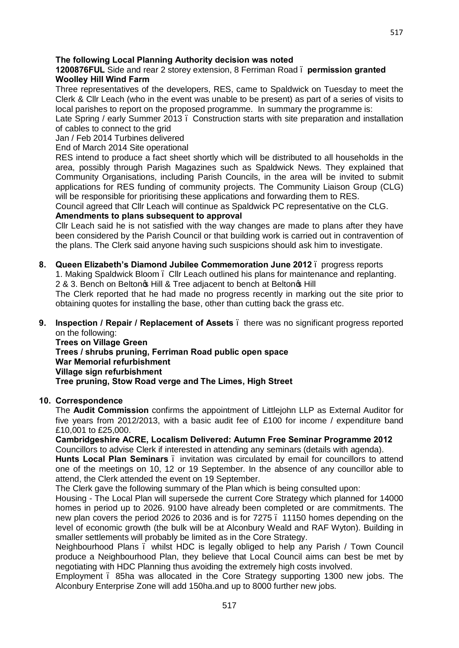517

# **The following Local Planning Authority decision was noted**

# **1200876FUL** Side and rear 2 storey extension, 8 Ferriman Road – **permission granted Woolley Hill Wind Farm**

Three representatives of the developers, RES, came to Spaldwick on Tuesday to meet the Clerk & Cllr Leach (who in the event was unable to be present) as part of a series of visits to local parishes to report on the proposed programme. In summary the programme is:

Late Spring / early Summer 2013 . Construction starts with site preparation and installation of cables to connect to the grid

Jan / Feb 2014 Turbines delivered

End of March 2014 Site operational

RES intend to produce a fact sheet shortly which will be distributed to all households in the area, possibly through Parish Magazines such as Spaldwick News. They explained that Community Organisations, including Parish Councils, in the area will be invited to submit applications for RES funding of community projects. The Community Liaison Group (CLG) will be responsible for prioritising these applications and forwarding them to RES.

Council agreed that Cllr Leach will continue as Spaldwick PC representative on the CLG. **Amendments to plans subsequent to approval**

Cllr Leach said he is not satisfied with the way changes are made to plans after they have been considered by the Parish Council or that building work is carried out in contravention of

the plans. The Clerk said anyone having such suspicions should ask him to investigate.

**8. Queen Elizabeth's Diamond Jubilee Commemoration June 2012** – progress reports 1. Making Spaldwick Bloom – Cllr Leach outlined his plans for maintenance and replanting.

2 & 3. Bench on Beltong Hill & Tree adiacent to bench at Beltong Hill

The Clerk reported that he had made no progress recently in marking out the site prior to obtaining quotes for installing the base, other than cutting back the grass etc.

**9. Inspection / Repair / Replacement of Assets** . there was no significant progress reported on the following:

**Trees on Village Green Trees / shrubs pruning, Ferriman Road public open space War Memorial refurbishment Village sign refurbishment Tree pruning, Stow Road verge and The Limes, High Street**

# **10. Correspondence**

The **Audit Commission** confirms the appointment of Littlejohn LLP as External Auditor for five years from 2012/2013, with a basic audit fee of £100 for income / expenditure band £10,001 to £25,000.

**Cambridgeshire ACRE, Localism Delivered: Autumn Free Seminar Programme 2012** Councillors to advise Clerk if interested in attending any seminars (details with agenda).

**Hunts Local Plan Seminars** – invitation was circulated by email for councillors to attend one of the meetings on 10, 12 or 19 September. In the absence of any councillor able to attend, the Clerk attended the event on 19 September.

The Clerk gave the following summary of the Plan which is being consulted upon:

Housing - The Local Plan will supersede the current Core Strategy which planned for 14000 homes in period up to 2026. 9100 have already been completed or are commitments. The new plan covers the period 2026 to 2036 and is for 7275 – 11150 homes depending on the level of economic growth (the bulk will be at Alconbury Weald and RAF Wyton). Building in smaller settlements will probably be limited as in the Core Strategy.

Neighbourhood Plans – whilst HDC is legally obliged to help any Parish / Town Council produce a Neighbourhood Plan, they believe that Local Council aims can best be met by negotiating with HDC Planning thus avoiding the extremely high costs involved.

Employment – 85ha was allocated in the Core Strategy supporting 1300 new jobs. The Alconbury Enterprise Zone will add 150ha.and up to 8000 further new jobs.